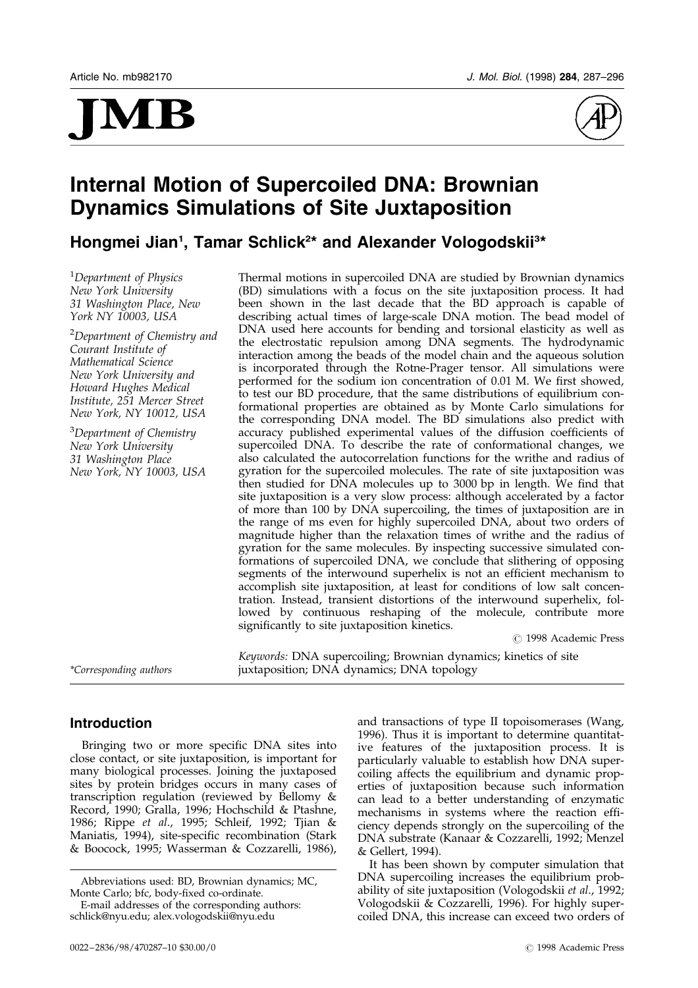# MI



# Internal Motion of Supercoiled DNA: Brownian Dynamics Simulations of Site Juxtaposition

Hongmei Jian<sup>1</sup>, Tamar Schlick<sup>2\*</sup> and Alexander Vologodskii<sup>3\*</sup>

<sup>1</sup>Department of Physics New York University 31 Washington Place, New York NY 10003, USA

<sup>2</sup>Department of Chemistry and Courant Institute of Mathematical Science New York University and Howard Hughes Medical Institute, 251 Mercer Street New York, NY 10012, USA

<sup>3</sup>Department of Chemistry New York University 31 Washington Place New York, NY 10003, USA Thermal motions in supercoiled DNA are studied by Brownian dynamics (BD) simulations with a focus on the site juxtaposition process. It had been shown in the last decade that the BD approach is capable of describing actual times of large-scale DNA motion. The bead model of DNA used here accounts for bending and torsional elasticity as well as the electrostatic repulsion among DNA segments. The hydrodynamic interaction among the beads of the model chain and the aqueous solution is incorporated through the Rotne-Prager tensor. All simulations were performed for the sodium ion concentration of 0.01 M. We first showed, to test our BD procedure, that the same distributions of equilibrium conformational properties are obtained as by Monte Carlo simulations for the corresponding DNA model. The BD simulations also predict with accuracy published experimental values of the diffusion coefficients of supercoiled DNA. To describe the rate of conformational changes, we also calculated the autocorrelation functions for the writhe and radius of gyration for the supercoiled molecules. The rate of site juxtaposition was then studied for DNA molecules up to 3000 bp in length. We find that site juxtaposition is a very slow process: although accelerated by a factor of more than 100 by DNA supercoiling, the times of juxtaposition are in the range of ms even for highly supercoiled DNA, about two orders of magnitude higher than the relaxation times of writhe and the radius of gyration for the same molecules. By inspecting successive simulated conformations of supercoiled DNA, we conclude that slithering of opposing segments of the interwound superhelix is not an efficient mechanism to accomplish site juxtaposition, at least for conditions of low salt concentration. Instead, transient distortions of the interwound superhelix, followed by continuous reshaping of the molecule, contribute more significantly to site juxtaposition kinetics.

# 1998 Academic Press

Keywords: DNA supercoiling; Brownian dynamics; kinetics of site \*Corresponding authors juxtaposition; DNA dynamics; DNA topology

# Introduction

Bringing two or more specific DNA sites into close contact, or site juxtaposition, is important for many biological processes. Joining the juxtaposed sites by protein bridges occurs in many cases of transcription regulation (reviewed by [Bellomy](#page-7-0) & Record, 1990; [Gralla, 1](#page-8-0)996; [Hochsch](#page-8-0)ild & Ptashne, 1986; [Rippe](#page-8-0) et al., 1995; [Schleif,](#page-8-0) 1992; [Tjian &](#page-8-0) Maniatis, 1994), site-specific recombination [\(Stark](#page-8-0) & Boocock, 1995; [Wasserm](#page-9-0)an & Cozzarelli, 1986),

and transactions of type II topoisomerases [\(Wang,](#page-8-0) 1996). Thus it is important to determine quantitative features of the juxtaposition process. It is particularly valuable to establish how DNA supercoiling affects the equilibrium and dynamic properties of juxtaposition because such information can lead to a better understanding of enzymatic mechanisms in systems where the reaction efficiency depends strongly on the supercoiling of the DNA substrate [\(Kanaar &](#page-8-0) Cozzarelli, 1992; [Menzel](#page-8-0) & Gellert, 1994).

It has been shown by computer simulation that DNA supercoiling increases the equilibrium prob-ability of site juxtaposition [\(Vologod](#page-8-0)skii et al., 1992; [Vologod](#page-8-0)skii & Cozzarelli, 1996). For highly supercoiled DNA, this increase can exceed two orders of

Abbreviations used: BD, Brownian dynamics; MC, Monte Carlo; bfc, body-fixed co-ordinate.

E-mail addresses of the corresponding authors: schlick@nyu.edu; alex.vologodskii@nyu.edu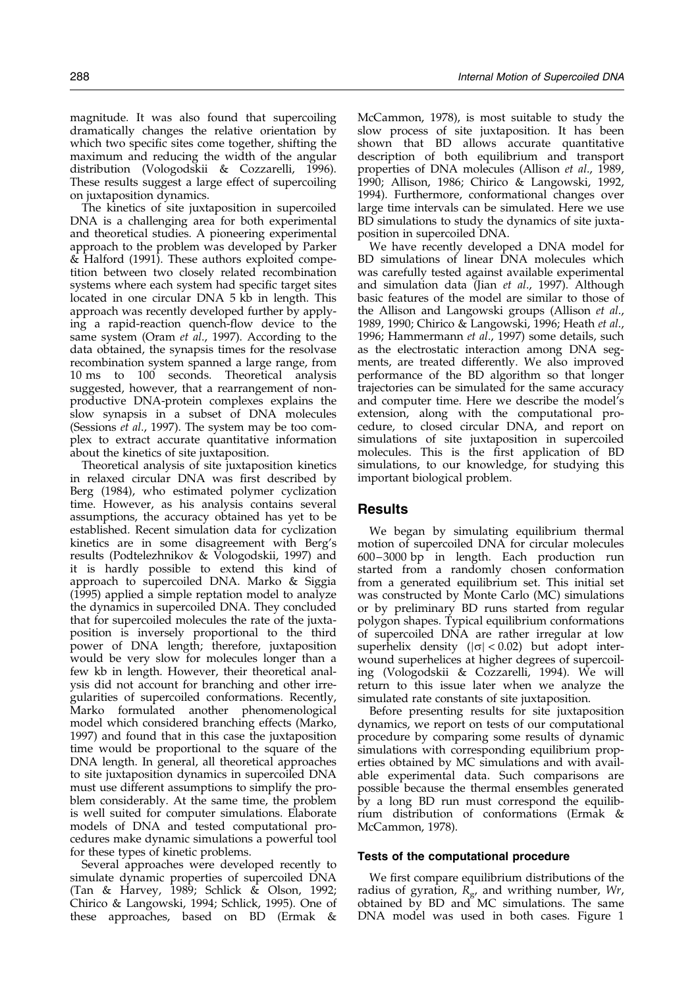magnitude. It was also found that supercoiling dramatically changes the relative orientation by which two specific sites come together, shifting the maximum and reducing the width of the angular distribution [\(Vologod](#page-8-0)skii & Cozzarelli, 1996). These results suggest a large effect of supercoiling on juxtaposition dynamics.

The kinetics of site juxtaposition in supercoiled DNA is a challenging area for both experimental and theoretical studies. A pioneering experimental approach to the problem was developed by [Parker](#page-8-0) & Halford (1991). These authors exploited competition between two closely related recombination systems where each system had specific target sites located in one circular DNA 5 kb in length. This approach was recently developed further by applying a rapid-reaction quench-flow device to the same system [\(Oram](#page-8-0) et al., 1997). According to the data obtained, the synapsis times for the resolvase recombination system spanned a large range, from 10 ms to 100 seconds. Theoretical analysis suggested, however, that a rearrangement of nonproductive DNA-protein complexes explains the slow synapsis in a subset of DNA molecules [\(Sessions](#page-8-0) et al., 1997). The system may be too complex to extract accurate quantitative information about the kinetics of site juxtaposition.

Theoretical analysis of site juxtaposition kinetics in relaxed circular DNA was first described by [Berg \(19](#page-8-0)84), who estimated polymer cyclization time. However, as his analysis contains several assumptions, the accuracy obtained has yet to be established. Recent simulation data for cyclization kinetics are in some disagreement with Berg's results [\(Podtelez](#page-8-0)hnikov & Vologodskii, 1997) and it is hardly possible to extend this kind of approach to supercoiled DNA. [Marko &](#page-8-0) Siggia (1995) applied a simple reptation model to analyze the dynamics in supercoiled DNA. They concluded that for supercoiled molecules the rate of the juxtaposition is inversely proportional to the third power of DNA length; therefore, juxtaposition would be very slow for molecules longer than a few kb in length. However, their theoretical analysis did not account for branching and other irregularities of supercoiled conformations. Recently, Marko formulated another phenomenological model which considered branching effects [\(Marko,](#page-8-0) 1997) and found that in this case the juxtaposition time would be proportional to the square of the DNA length. In general, all theoretical approaches to site juxtaposition dynamics in supercoiled DNA must use different assumptions to simplify the problem considerably. At the same time, the problem is well suited for computer simulations. Elaborate models of DNA and tested computational procedures make dynamic simulations a powerful tool for these types of kinetic problems.

Several approaches were developed recently to simulate dynamic properties of supercoiled DNA [\(Tan &](#page-8-0) Harvey, 1989; [Schlick](#page-8-0) & Olson, 1992; [Chirico &](#page-8-0) Langowski, 1994; [Schlick,](#page-8-0) 1995). One of these approaches, based on BD [\(Ermak](#page-8-0) &

McCammon, 1978), is most suitable to study the slow process of site juxtaposition. It has been shown that BD allows accurate quantitative description of both equilibrium and transport properties of DNA molecules [\(Allison](#page-7-0) et al., 198[9,](#page-7-0) 1990; [Allison,](#page-7-0) 1986; [Chirico](#page-8-0) & Langowski, 199[2,](#page-8-0) 1994). Furthermore, conformational changes over large time intervals can be simulated. Here we use BD simulations to study the dynamics of site juxtaposition in supercoiled DNA.

We have recently developed a DNA model for BD simulations of linear DNA molecules which was carefully tested against available experimental and simulation data [\(Jian](#page-8-0) et al., 1997). Although basic features of the model are similar to those of the Allison and Langowski groups [\(Allison](#page-7-0) et al., 198[9, 1990;](#page-7-0) [Chirico &](#page-8-0) Langowski, 1996[; Heath](#page-8-0) et al., 1996; [Hammer](#page-8-0)mann et al., 1997) some details, such as the electrostatic interaction among DNA segments, are treated differently. We also improved performance of the BD algorithm so that longer trajectories can be simulated for the same accuracy and computer time. Here we describe the model's extension, along with the computational procedure, to closed circular DNA, and report on simulations of site juxtaposition in supercoiled molecules. This is the first application of BD simulations, to our knowledge, for studying this important biological problem.

## Results

We began by simulating equilibrium thermal motion of supercoiled DNA for circular molecules 600-3000 bp in length. Each production run started from a randomly chosen conformation from a generated equilibrium set. This initial set was constructed by Monte Carlo (MC) simulations or by preliminary BD runs started from regular polygon shapes. Typical equilibrium conformations of supercoiled DNA are rather irregular at low superhelix density ( $|\sigma|$  < 0.02) but adopt interwound superhelices at higher degrees of supercoiling [\(Vologod](#page-8-0)skii & Cozzarelli, 1994). We will return to this issue later when we analyze the simulated rate constants of site juxtaposition.

Before presenting results for site juxtaposition dynamics, we report on tests of our computational procedure by comparing some results of dynamic simulations with corresponding equilibrium properties obtained by MC simulations and with available experimental data. Such comparisons are possible because the thermal ensembles generated by a long BD run must correspond the equilibrium distribution of conformations [\(Ermak](#page-8-0) & McCammon, 1978).

#### Tests of the computational procedure

We first compare equilibrium distributions of the radius of gyration,  $R_{\rm g}$ , and writhing number, Wr, obtained by BD and MC simulations. The same DNA model was used in both cases. [Figure 1](#page-2-0)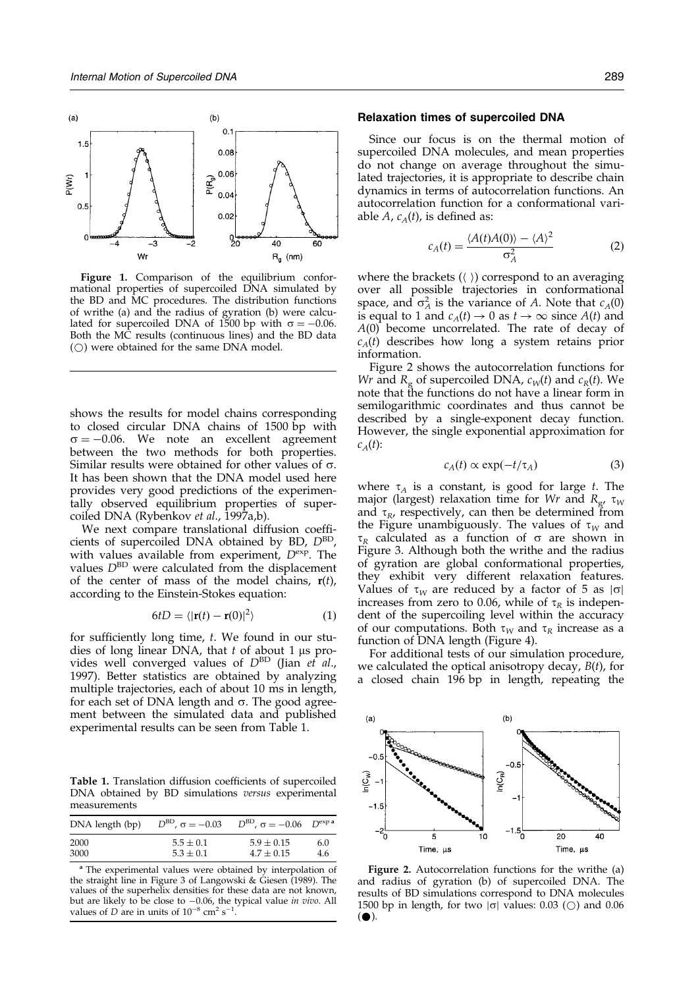<span id="page-2-0"></span>

**Figure 1.** Comparison of the equilibrium conformational properties of supercoiled DNA simulated by the BD and MC procedures. The distribution functions of writhe (a) and the radius of gyration (b) were calculated for supercoiled DNA of 1500 bp with  $\sigma = -0.06$ . Both the MC results (continuous lines) and the BD data  $(\bigcirc)$  were obtained for the same DNA model.

shows the results for model chains corresponding to closed circular DNA chains of 1500 bp with  $\sigma = -0.06$ . We note an excellent agreement between the two methods for both properties. Similar results were obtained for other values of  $\sigma$ . It has been shown that the DNA model used here provides very good predictions of the experimentally observed equilibrium properties of supercoiled DNA [\(Rybenko](#page-8-0)v et al., 1997[a,b\).](#page-8-0)

We next compare translational diffusion coefficients of supercoiled DNA obtained by BD,  $D^{\text{BD}}$ , with values available from experiment,  $D^{\text{exp}}$ . The values  $D^{\text{BD}}$  were calculated from the displacement of the center of mass of the model chains,  $\mathbf{r}(t)$ , according to the Einstein-Stokes equation:

$$
6tD = \langle |\mathbf{r}(t) - \mathbf{r}(0)|^2 \rangle \tag{1}
$$

for sufficiently long time,  $t$ . We found in our studies of long linear DNA, that  $t$  of about 1 µs provides well converged values of  $D^{BD}$  [\(Jian](#page-8-0) et al., 1997). Better statistics are obtained by analyzing multiple trajectories, each of about 10 ms in length, for each set of DNA length and  $\sigma$ . The good agreement between the simulated data and published experimental results can be seen from Table 1.

Table 1. Translation diffusion coefficients of supercoiled DNA obtained by BD simulations versus experimental measurements

| DNA length (bp) | $D^{\rm BD}$ , $\sigma = -0.03$ | $D^{\text{BD}}$ , $\sigma = -0.06$ $D^{\text{exp a}}$ |     |
|-----------------|---------------------------------|-------------------------------------------------------|-----|
| 2000            | $5.5 \pm 0.1$                   | $5.9 \pm 0.15$                                        | 6.0 |
| 3000            | $5.3 \pm 0.1$                   | $4.7 \pm 0.15$                                        | 4.6 |

<sup>a</sup> The experimental values were obtained by interpolation of the straight line in [Figure 3 o](#page-3-0)f [Langowski](#page-8-0) & Giesen (1989). The values of the superhelix densities for these data are not known, but are likely to be close to  $-0.06$ , the typical value in vivo. All values of D are in units of  $10^{-8}$  cm<sup>2</sup> s<sup>-1</sup>.

#### Relaxation times of supercoiled DNA

Since our focus is on the thermal motion of supercoiled DNA molecules, and mean properties do not change on average throughout the simulated trajectories, it is appropriate to describe chain dynamics in terms of autocorrelation functions. An autocorrelation function for a conformational variable A,  $c_A(t)$ , is defined as:

$$
c_A(t) = \frac{\langle A(t)A(0) \rangle - \langle A \rangle^2}{\sigma_A^2} \tag{2}
$$

where the brackets  $(\langle \rangle)$  correspond to an averaging over all possible trajectories in conformational space, and  $\sigma_A^2$  is the variance of A. Note that  $c_A(0)$ is equal to 1 and  $c_A(t) \to 0$  as  $t \to \infty$  since  $A(t)$  and A(0) become uncorrelated. The rate of decay of  $c_A(t)$  describes how long a system retains prior information.

Figure 2 shows the autocorrelation functions for Wr and  $R_g$  of supercoiled DNA,  $c_W(t)$  and  $c_R(t)$ . We note that the functions do not have a linear form in semilogarithmic coordinates and thus cannot be described by a single-exponent decay function. However, the single exponential approximation for  $c_A(t)$ :

$$
c_A(t) \propto \exp(-t/\tau_A) \tag{3}
$$

where  $\tau_A$  is a constant, is good for large t. The major (largest) relaxation time for Wr and  $R_{\rm g}$ ,  $\tau_{\rm W}$ and  $\tau_R$ , respectively, can then be determined from the Figure unambiguously. The values of  $\tau_W$  and  $\tau_R$  calculated as a function of  $\sigma$  are shown in [Figure 3.](#page-3-0) Although both the writhe and the radius of gyration are global conformational properties, they exhibit very different relaxation features. Values of  $\tau_W$  are reduced by a factor of 5 as  $|\sigma|$ increases from zero to 0.06, while of  $\tau_R$  is independent of the supercoiling level within the accuracy of our computations. Both  $\tau_W$  and  $\tau_R$  increase as a function of DNA length [\(Figure 4\)](#page-3-0).

For additional tests of our simulation procedure, we calculated the optical anisotropy decay,  $B(t)$ , for a closed chain 196 bp in length, repeating the



Figure 2. Autocorrelation functions for the writhe (a) and radius of gyration (b) of supercoiled DNA. The results of BD simulations correspond to DNA molecules 1500 bp in length, for two  $|\sigma|$  values: 0.03 ( $\circ$ ) and 0.06  $( \bullet).$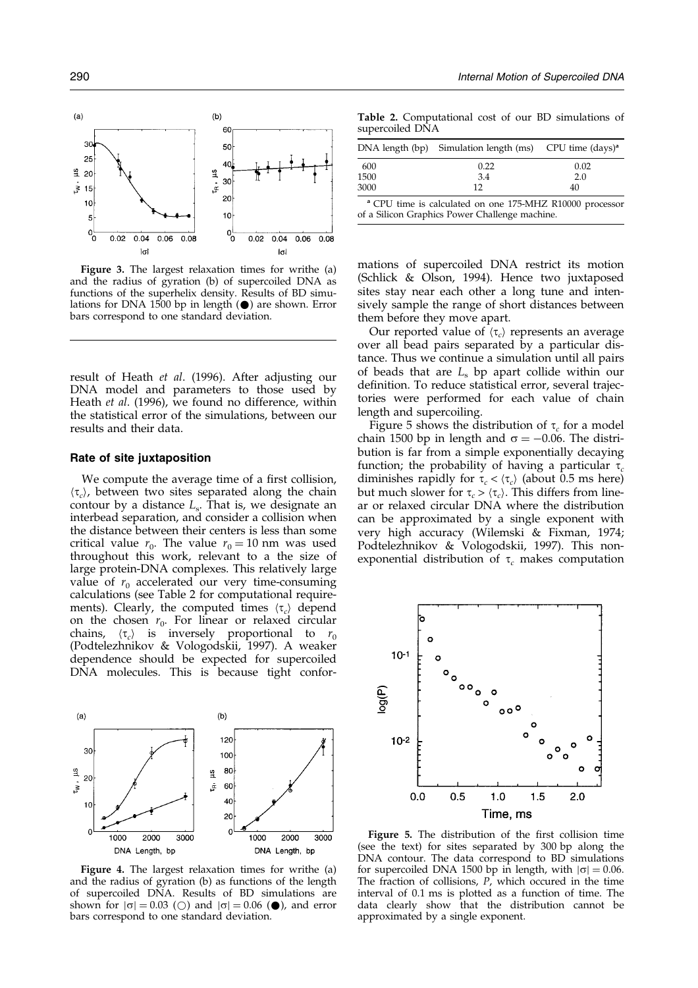<span id="page-3-0"></span>

Figure 3. The largest relaxation times for writhe (a) and the radius of gyration (b) of supercoiled DNA as functions of the superhelix density. Results of BD simulations for DNA 1500 bp in length  $(\bullet)$  are shown. Error bars correspond to one standard deviation.

result of [Heath](#page-8-0) et al. (1996). After adjusting our DNA model and parameters to those used by [Heath](#page-8-0) et al. (1996), we found no difference, within the statistical error of the simulations, between our results and their data.

#### Rate of site juxtaposition

We compute the average time of a first collision,  $\langle \tau_c \rangle$ , between two sites separated along the chain contour by a distance  $L<sub>s</sub>$ . That is, we designate an interbead separation, and consider a collision when the distance between their centers is less than some critical value  $r_0$ . The value  $r_0 = 10$  nm was used throughout this work, relevant to a the size of large protein-DNA complexes. This relatively large value of  $r_0$  accelerated our very time-consuming calculations (see Table 2 for computational requirements). Clearly, the computed times  $\langle \tau_c \rangle$  depend on the chosen  $r_0$ . For linear or relaxed circular chains,  $\langle \tau_c \rangle$  is inversely proportional to  $r_0$ [\(Podtelez](#page-8-0)hnikov & Vologodskii, 1997). A weaker dependence should be expected for supercoiled DNA molecules. This is because tight confor-



Figure 4. The largest relaxation times for writhe (a) and the radius of gyration (b) as functions of the length of supercoiled DNA. Results of BD simulations are shown for  $|\sigma| = 0.03$  ( $\bigcirc$ ) and  $|\sigma| = 0.06$  ( $\bigcirc$ ), and error bars correspond to one standard deviation.

Table 2. Computational cost of our BD simulations of supercoiled DNA

|                                                                     | DNA length (bp) Simulation length $(ms)$ CPU time $(days)^a$ |      |  |
|---------------------------------------------------------------------|--------------------------------------------------------------|------|--|
| 600                                                                 | 0.22                                                         | 0.02 |  |
| 1500                                                                | 3.4                                                          | 2.0  |  |
| 3000                                                                | 12                                                           | 40   |  |
| <sup>a</sup> CPU time is calculated on one 175-MHZ R10000 processor |                                                              |      |  |

of a Silicon Graphics Power Challenge machine.

mations of supercoiled DNA restrict its motion (Schlick & Olson, 1994). Hence two juxtaposed sites stay near each other a long tune and intensively sample the range of short distances between them before they move apart.

Our reported value of  $\langle \tau_c \rangle$  represents an average over all bead pairs separated by a particular distance. Thus we continue a simulation until all pairs of beads that are  $L<sub>s</sub>$  bp apart collide within our definition. To reduce statistical error, several trajectories were performed for each value of chain length and supercoiling.

Figure 5 shows the distribution of  $\tau_c$  for a model chain 1500 bp in length and  $\sigma = -0.06$ . The distribution is far from a simple exponentially decaying function; the probability of having a particular  $\tau_c$ diminishes rapidly for  $\tau_c < \langle \tau_c \rangle$  (about 0.5 ms here) but much slower for  $\tau_c > \langle \tau_c \rangle$ . This differs from linear or relaxed circular DNA where the distribution can be approximated by a single exponent with very high accuracy [\(Wilemsk](#page-9-0)i & Fixman, 1974; [Podtelez](#page-8-0)hnikov & Vologodskii, 1997). This nonexponential distribution of  $\tau_c$  makes computation



Figure 5. The distribution of the first collision time (see the text) for sites separated by 300 bp along the DNA contour. The data correspond to BD simulations for supercoiled DNA 1500 bp in length, with  $|\sigma| = 0.06$ . The fraction of collisions,  $P$ , which occured in the time interval of 0.1 ms is plotted as a function of time. The data clearly show that the distribution cannot be approximated by a single exponent.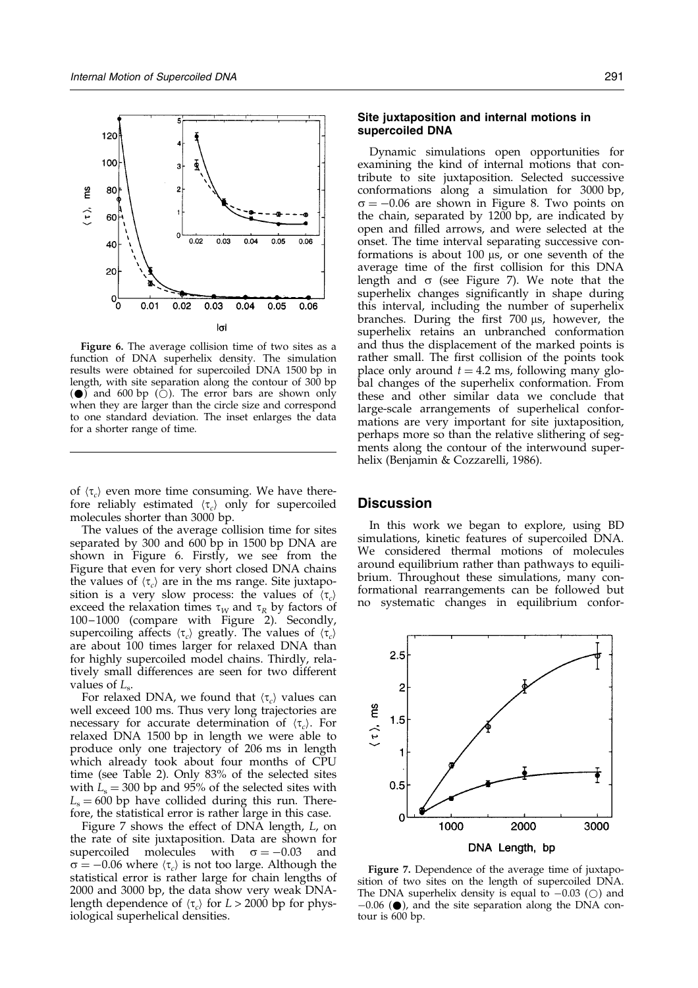<span id="page-4-0"></span>

Figure 6. The average collision time of two sites as a function of DNA superhelix density. The simulation results were obtained for supercoiled DNA 1500 bp in length, with site separation along the contour of 300 bp  $($   $\bullet$   $)$  and 600 bp ( $\circ$ ). The error bars are shown only when they are larger than the circle size and correspond to one standard deviation. The inset enlarges the data for a shorter range of time.

of  $\langle \tau_c \rangle$  even more time consuming. We have therefore reliably estimated  $\langle \tau_c \rangle$  only for supercoiled molecules shorter than 3000 bp.

The values of the average collision time for sites separated by 300 and 600 bp in 1500 bp DNA are shown in Figure 6. Firstly, we see from the Figure that even for very short closed DNA chains the values of  $\langle \tau_c \rangle$  are in the ms range. Site juxtaposition is a very slow process: the values of  $\langle \tau_c \rangle$ exceed the relaxation times  $\tau_W$  and  $\tau_R$  by factors of 100-1000 (compare with [Figure 2](#page-2-0)). Secondly, supercoiling affects  $\langle \tau_c \rangle$  greatly. The values of  $\langle \tau_c \rangle$ are about 100 times larger for relaxed DNA than for highly supercoiled model chains. Thirdly, relatively small differences are seen for two different values of  $L_s$ .

For relaxed DNA, we found that  $\langle \tau_c \rangle$  values can well exceed 100 ms. Thus very long trajectories are necessary for accurate determination of  $\langle \tau_c \rangle$ . For relaxed DNA 1500 bp in length we were able to produce only one trajectory of 206 ms in length which already took about four months of CPU time (see [Table 2\).](#page-3-0) Only 83% of the selected sites with  $L<sub>s</sub> = 300$  bp and 95% of the selected sites with  $L<sub>s</sub> = 600$  bp have collided during this run. Therefore, the statistical error is rather large in this case.

Figure 7 shows the effect of DNA length, L, on the rate of site juxtaposition. Data are shown for supercoiled molecules with  $\sigma = -0.03$  and  $\sigma = -0.06$  where  $\langle \tau_c \rangle$  is not too large. Although the statistical error is rather large for chain lengths of 2000 and 3000 bp, the data show very weak DNAlength dependence of  $\langle \tau_c \rangle$  for  $L > 2000$  bp for physiological superhelical densities.

## Site juxtaposition and internal motions in supercoiled DNA

Dynamic simulations open opportunities for examining the kind of internal motions that contribute to site juxtaposition. Selected successive conformations along a simulation for 3000 bp,  $\sigma = -0.06$  are shown in [Figure 8](#page-5-0). Two points on the chain, separated by 1200 bp, are indicated by open and filled arrows, and were selected at the onset. The time interval separating successive conformations is about 100  $\mu$ s, or one seventh of the average time of the first collision for this DNA length and  $\sigma$  (see Figure 7). We note that the superhelix changes significantly in shape during this interval, including the number of superhelix branches. During the first 700 us, however, the superhelix retains an unbranched conformation and thus the displacement of the marked points is rather small. The first collision of the points took place only around  $t = 4.2$  ms, following many global changes of the superhelix conformation. From these and other similar data we conclude that large-scale arrangements of superhelical conformations are very important for site juxtaposition, perhaps more so than the relative slithering of segments along the contour of the interwound superhelix [\(Benjamin](#page-8-0) & Cozzarelli, 1986).

#### **Discussion**

In this work we began to explore, using BD simulations, kinetic features of supercoiled DNA. We considered thermal motions of molecules around equilibrium rather than pathways to equilibrium. Throughout these simulations, many conformational rearrangements can be followed but no systematic changes in equilibrium confor-



Figure 7. Dependence of the average time of juxtaposition of two sites on the length of supercoiled DNA. The DNA superhelix density is equal to  $-0.03$  ( $\circlearrowright$ ) and  $-0.06$  ( $\bullet$ ), and the site separation along the DNA contour is 600 bp.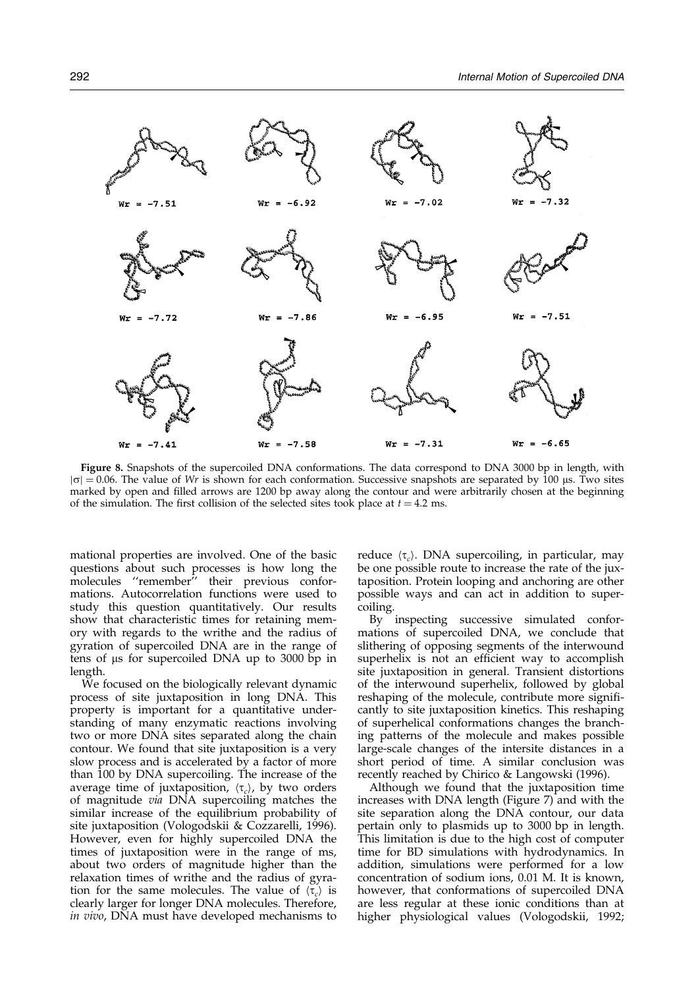<span id="page-5-0"></span> $= -7.02$  $-7.32$  $-7.51$  $= -6.92$ Wr  $Wr =$  $Wr = -7.86$  $Wr = -6.95$  $= -7.51$ Wr  $Wr = -7.72$  $Wr = -7.58$  $Wr = -7.31$  $Wr = -6.65$  $Wr = -7.41$ 

Figure 8. Snapshots of the supercoiled DNA conformations. The data correspond to DNA 3000 bp in length, with  $|\sigma| = 0.06$ . The value of Wr is shown for each conformation. Successive snapshots are separated by 100 µs. Two sites marked by open and filled arrows are 1200 bp away along the contour and were arbitrarily chosen at the beginning of the simulation. The first collision of the selected sites took place at  $t = 4.2$  ms.

mational properties are involved. One of the basic questions about such processes is how long the  $m$ olecules "remember" their previous conformations. Autocorrelation functions were used to study this question quantitatively. Our results show that characteristic times for retaining memory with regards to the writhe and the radius of gyration of supercoiled DNA are in the range of tens of  $\mu$ s for supercoiled DNA up to 3000 bp in length.

We focused on the biologically relevant dynamic process of site juxtaposition in long DNA. This property is important for a quantitative understanding of many enzymatic reactions involving two or more DNA sites separated along the chain contour. We found that site juxtaposition is a very slow process and is accelerated by a factor of more than 100 by DNA supercoiling. The increase of the average time of juxtaposition,  $\langle \tau_c \rangle$ , by two orders of magnitude via DNA supercoiling matches the similar increase of the equilibrium probability of site juxtaposition [\(Vologod](#page-8-0)skii & Cozzarelli, 1996). However, even for highly supercoiled DNA the times of juxtaposition were in the range of ms, about two orders of magnitude higher than the relaxation times of writhe and the radius of gyration for the same molecules. The value of  $\langle \tau_c \rangle$  is clearly larger for longer DNA molecules. Therefore, in vivo, DNA must have developed mechanisms to reduce  $\langle \tau_c \rangle$ . DNA supercoiling, in particular, may be one possible route to increase the rate of the juxtaposition. Protein looping and anchoring are other possible ways and can act in addition to supercoiling.

By inspecting successive simulated conformations of supercoiled DNA, we conclude that slithering of opposing segments of the interwound superhelix is not an efficient way to accomplish site juxtaposition in general. Transient distortions of the interwound superhelix, followed by global reshaping of the molecule, contribute more significantly to site juxtaposition kinetics. This reshaping of superhelical conformations changes the branching patterns of the molecule and makes possible large-scale changes of the intersite distances in a short period of time. A similar conclusion was recently reached by [Chirico &](#page-8-0) Langowski (1996).

Although we found that the juxtaposition time increases with DNA length [\(Figure 7\)](#page-4-0) and with the site separation along the DNA contour, our data pertain only to plasmids up to 3000 bp in length. This limitation is due to the high cost of computer time for BD simulations with hydrodynamics. In addition, simulations were performed for a low concentration of sodium ions, 0.01 M. It is known, however, that conformations of supercoiled DNA are less regular at these ionic conditions than at higher physiological values [\(Vologod](#page-8-0)skii, 1992;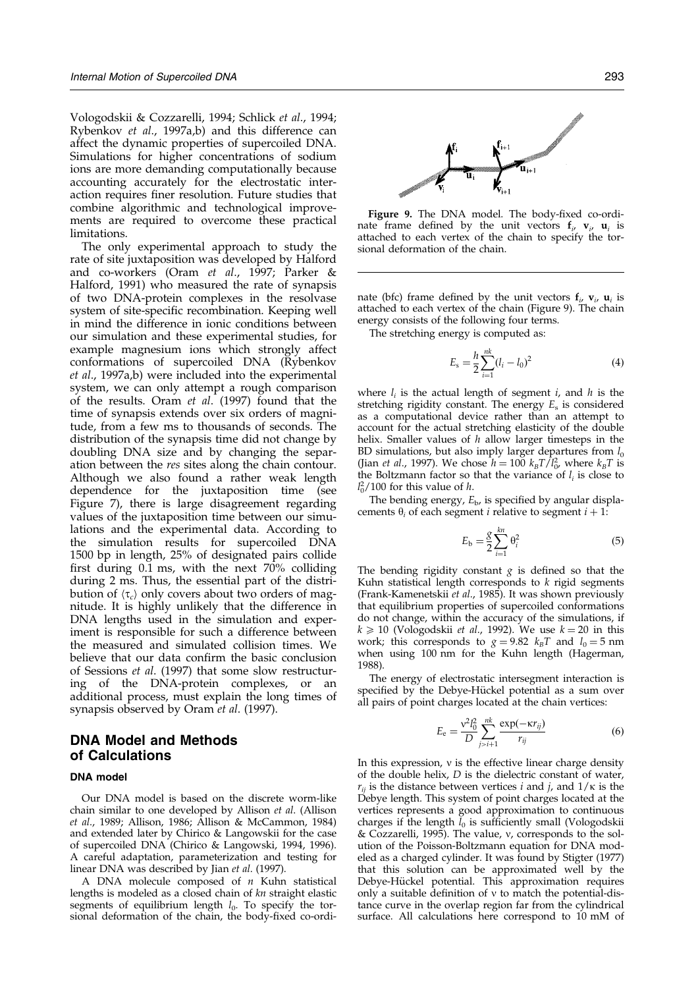[Vologod](#page-8-0)skii & Cozzarelli, 1994; [Schlick](#page-8-0) et al., 1994; [Rybenko](#page-8-0)v et al., 1997[a,b\) and](#page-8-0) this difference can affect the dynamic properties of supercoiled DNA. Simulations for higher concentrations of sodium ions are more demanding computationally because accounting accurately for the electrostatic interaction requires finer resolution. Future studies that combine algorithmic and technological improvements are required to overcome these practical limitations.

The only experimental approach to study the rate of site juxtaposition was developed by Halford and co-workers [\(Oram](#page-8-0) et al., 1997; [Parker](#page-8-0) & Halford, 1991) who measured the rate of synapsis of two DNA-protein complexes in the resolvase system of site-specific recombination. Keeping well in mind the difference in ionic conditions between our simulation and these experimental studies, for example magnesium ions which strongly affect conformations of supercoiled DNA [\(Rybenko](#page-8-0)v et al., 1997[a,b\) were](#page-8-0) included into the experimental system, we can only attempt a rough comparison of the results. [Oram](#page-8-0) et al. (1997) found that the time of synapsis extends over six orders of magnitude, from a few ms to thousands of seconds. The distribution of the synapsis time did not change by doubling DNA size and by changing the separation between the res sites along the chain contour. Although we also found a rather weak length dependence for the juxtaposition time (see [Figure 7](#page-4-0)), there is large disagreement regarding values of the juxtaposition time between our simulations and the experimental data. According to the simulation results for supercoiled DNA 1500 bp in length, 25% of designated pairs collide first during  $0.1$  ms, with the next  $70\%$  colliding during 2 ms. Thus, the essential part of the distribution of  $\langle \tau_c \rangle$  only covers about two orders of magnitude. It is highly unlikely that the difference in DNA lengths used in the simulation and experiment is responsible for such a difference between the measured and simulated collision times. We believe that our data confirm the basic conclusion of [Sessions](#page-8-0) et al. (1997) that some slow restructuring of the DNA-protein complexes, or an additional process, must explain the long times of synapsis observed b[y Oram](#page-8-0) et al. (1997).

# DNA Model and Methods of Calculations

#### DNA model

Our DNA model is based on the discrete worm-like chain similar to one developed by Allison et al. [\(Allison](#page-7-0) et al., 1989; [Allison, 1](#page-7-0)986; [Allison &](#page-7-0) McCammon, 1984) and extended later by Chirico & Langowskii for the case of supercoiled DNA [\(Chirico &](#page-8-0) Langowski, 199[4, 1996\).](#page-8-0) A careful adaptation, parameterization and testing for linear DNA was described b[y Jian](#page-8-0) et al. (1997).

A DNA molecule composed of  $n$  Kuhn statistical lengths is modeled as a closed chain of  $kn$  straight elastic segments of equilibrium length  $l_0$ . To specify the torsional deformation of the chain, the body-fixed co-ordi-



Figure 9. The DNA model. The body-fixed co-ordinate frame defined by the unit vectors  $f_i$ ,  $v_i$ ,  $u_i$  is attached to each vertex of the chain to specify the torsional deformation of the chain.

nate (bfc) frame defined by the unit vectors  $f_i$ ,  $v_i$ ,  $u_i$  is attached to each vertex of the chain (Figure 9). The chain energy consists of the following four terms.

The stretching energy is computed as:

$$
E_{\rm s} = \frac{h}{2} \sum_{i=1}^{nk} (l_i - l_0)^2
$$
 (4)

where  $l_i$  is the actual length of segment  $i$ , and  $h$  is the stretching rigidity constant. The energy  $E_s$  is considered as a computational device rather than an attempt to account for the actual stretching elasticity of the double helix. Smaller values of  $h$  allow larger timesteps in the BD simulations, but also imply larger departures from  $l_0$ [\(Jian](#page-8-0) *et al.*, 1997). We chose  $h = 100 \; k_B T/l_0^2$ , where  $k_B T$  is the Boltzmann factor so that the variance of  $l_i$  is close to  $l_0^2/100$  for this value of h.

The bending energy,  $E_{\rm b}$ , is specified by angular displacements  $\theta_i$  of each segment *i* relative to segment  $i + 1$ :

$$
E_{\rm b} = \frac{g}{2} \sum_{i=1}^{kn} \theta_i^2
$$
 (5)

The bending rigidity constant  $g$  is defined so that the Kuhn statistical length corresponds to  $k$  rigid segments [\(Frank-Kam](#page-8-0)enetskii et al., 1985). It was shown previously that equilibrium properties of supercoiled conformations do not change, within the accuracy of the simulations, if  $k \ge 10$  [\(Vologods](#page-8-0)kii et al., 1992). We use  $k = 20$  in this work; this corresponds to  $g = 9.82$   $k_BT$  and  $l_0 = 5$  nm when using 100 nm for the Kuhn length [\(Hagerman](#page-8-0), 1988).

The energy of electrostatic intersegment interaction is specified by the Debye-Hückel potential as a sum over all pairs of point charges located at the chain vertices:

$$
E_{\rm e} = \frac{v^2 l_0^2}{D} \sum_{j>i+1}^{nk} \frac{\exp(-\kappa r_{ij})}{r_{ij}} \tag{6}
$$

In this expression,  $v$  is the effective linear charge density of the double helix, D is the dielectric constant of water,  $r_{ij}$  is the distance between vertices *i* and *j*, and  $1/\kappa$  is the Debye length. This system of point charges located at the vertices represents a good approximation to continuous charges if the length  $l_0$  is sufficiently small [\(Vologods](#page-8-0)kii & Cozzarelli, 1995). The value, v, corresponds to the solution of the Poisson-Boltzmann equation for DNA modeled as a charged cylinder. It was found b[y Stigter \(19](#page-8-0)77) that this solution can be approximated well by the Debye-Hückel potential. This approximation requires only a suitable definition of  $v$  to match the potential-distance curve in the overlap region far from the cylindrical surface. All calculations here correspond to 10 mM of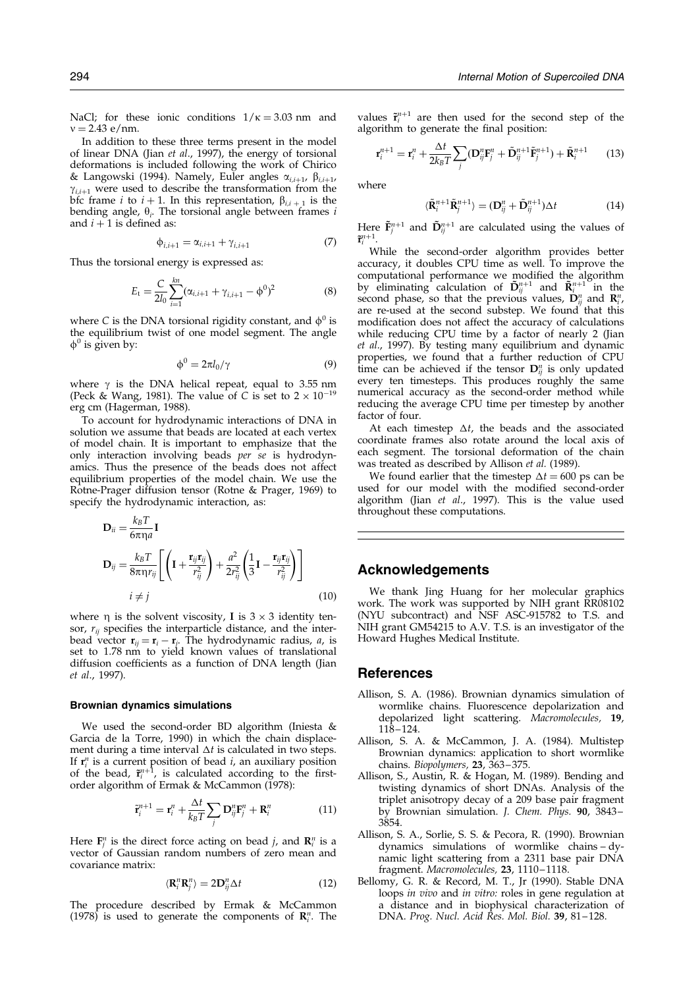<span id="page-7-0"></span>NaCl; for these ionic conditions  $1/\kappa = 3.03$  nm and  $v = 2.43$  e/nm.

In addition to these three terms present in the model of linear DNA [\(Jian](#page-8-0) et al., 1997), the energy of torsional deformations is included following the work of [Chirico](#page-8-0) & Langowski (1994). Namely, Euler angles  $\alpha_{i,j+1}$ ,  $\beta_{i,j+1}$ ,  $\gamma_{i,i+1}$  were used to describe the transformation from the bfc frame *i* to  $i + 1$ . In this representation,  $\beta_{i,i+1}$  is the bending angle,  $\theta_i$ . The torsional angle between frames *i* and  $i + 1$  is defined as:

$$
\phi_{i,i+1} = \alpha_{i,i+1} + \gamma_{i,i+1} \tag{7}
$$

Thus the torsional energy is expressed as:

$$
E_{t} = \frac{C}{2l_{0}} \sum_{i=1}^{kn} (\alpha_{i,i+1} + \gamma_{i,i+1} - \phi^{0})^{2}
$$
 (8)

where C is the DNA torsional rigidity constant, and  $\phi^0$  is the equilibrium twist of one model segment. The angle  $\phi^0$  is given by:

$$
\phi^0 = 2\pi l_0 / \gamma \tag{9}
$$

where  $\gamma$  is the DNA helical repeat, equal to 3.55 nm [\(Peck & W](#page-8-0)ang, 1981). The value of C is set to  $2 \times 10^{-19}$ erg cm [\(Hagerma](#page-8-0)n, 1988).

To account for hydrodynamic interactions of DNA in solution we assume that beads are located at each vertex of model chain. It is important to emphasize that the only interaction involving beads  $per$  se is hydrodynamics. Thus the presence of the beads does not affect equilibrium properties of the model chain. We use the Rotne-Prager diffusion tensor [\(Rotne &](#page-8-0) Prager, 1969) to specify the hydrodynamic interaction, as:

$$
\mathbf{D}_{ii} = \frac{k_B T}{6\pi \eta a} \mathbf{I}
$$
\n
$$
\mathbf{D}_{ij} = \frac{k_B T}{8\pi \eta r_{ij}} \left[ \left( \mathbf{I} + \frac{\mathbf{r}_{ij} \mathbf{r}_{ij}}{r_{ij}^2} \right) + \frac{a^2}{2r_{ij}^2} \left( \frac{1}{3} \mathbf{I} - \frac{\mathbf{r}_{ij} \mathbf{r}_{ij}}{r_{ij}^2} \right) \right]
$$
\n
$$
i \neq j \tag{10}
$$

where  $\eta$  is the solvent viscosity, **I** is  $3 \times 3$  identity tensor,  $r_{ij}$  specifies the interparticle distance, and the interbead vector  $\mathbf{r}_{ij} = \mathbf{r}_i - \mathbf{r}_j$ . The hydrodynamic radius, *a*, is set to 1.78 nm to yield known values of translational diffusion coefficients as a function of DNA length [\(Jian](#page-8-0) et al., 1997).

#### Brownian dynamics simulations

We used the second-order BD algorithm [\(Iniesta &](#page-8-0) Garcia de la Torre, 1990) in which the chain displacement during a time interval  $\Delta t$  is calculated in two steps. If  $r_i^n$  is a current position of bead i, an auxiliary position of the bead,  $\tilde{\mathbf{r}}_i^{n+1}$ , is calculated according to the firstorder algorithm of [Ermak &](#page-8-0) McCammon (1978):

$$
\tilde{\mathbf{r}}_i^{n+1} = \mathbf{r}_i^n + \frac{\Delta t}{k_B T} \sum_j \mathbf{D}_{ij}^n \mathbf{F}_j^n + \mathbf{R}_i^n \tag{11}
$$

Here  $\mathbf{F}_j^n$  is the direct force acting on bead *j*, and  $\mathbf{R}_i^n$  is a vector of Gaussian random numbers of zero mean and covariance matrix:

$$
\langle \mathbf{R}_i^n \mathbf{R}_j^n \rangle = 2 \mathbf{D}_{ij}^n \Delta t \tag{12}
$$

The procedure described by [Ermak &](#page-8-0) McCammon (1978) is used to generate the components of  $\mathbf{R}_{i}^{n}$ . The

values  $\tilde{\mathbf{r}}_i^{n+1}$  are then used for the second step of the algorithm to generate the final position:

$$
\mathbf{r}_{i}^{n+1} = \mathbf{r}_{i}^{n} + \frac{\Delta t}{2k_{B}T} \sum_{j} (\mathbf{D}_{ij}^{n} \mathbf{F}_{j}^{n} + \tilde{\mathbf{D}}_{ij}^{n+1} \tilde{\mathbf{F}}_{j}^{n+1}) + \tilde{\mathbf{R}}_{i}^{n+1}
$$
 (13)

where

$$
\langle \tilde{\mathbf{R}}_{i}^{n+1} \tilde{\mathbf{R}}_{j}^{n+1} \rangle = (\mathbf{D}_{ij}^{n} + \tilde{\mathbf{D}}_{ij}^{n+1}) \Delta t \tag{14}
$$

Here  $\tilde{\mathbf{F}}_{i}^{n+1}$  and  $\tilde{\mathbf{D}}_{ii}^{n+1}$  are calculated using the values of  $\tilde{\mathbf{r}}_i^{n+1}$ .

While the second-order algorithm provides better accuracy, it doubles CPU time as well. To improve the computational performance we modified the algorithm by eliminating calculation of  $\tilde{\mathbf{D}}_{ij}^{n+1}$  and  $\tilde{\mathbf{R}}_{i}^{n+1}$  in the second phase, so that the previous values,  $\mathbf{D}_{ij}^n$  and  $\mathbf{R}_{i}^n$ , are re-used at the second substep. We found that this modification does not affect the accuracy of calculations while reducing CPU time by a factor of nearly 2 [\(Jian](#page-8-0) et al., 1997). By testing many equilibrium and dynamic properties, we found that a further reduction of CPU time can be achieved if the tensor  $\mathbf{D}_{ij}^n$  is only updated every ten timesteps. This produces roughly the same numerical accuracy as the second-order method while reducing the average CPU time per timestep by another factor of four.

At each timestep  $\Delta t$ , the beads and the associated coordinate frames also rotate around the local axis of each segment. The torsional deformation of the chain was treated as described by Allison et al. (1989).

We found earlier that the timestep  $\Delta t = 600$  ps can be used for our model with the modified second-order algorithm [\(Jian](#page-8-0) et al., 1997). This is the value used throughout these computations.

# Acknowledgements

We thank Jing Huang for her molecular graphics work. The work was supported by NIH grant RR08102 (NYU subcontract) and NSF ASC-915782 to T.S. and NIH grant GM54215 to A.V. T.S. is an investigator of the Howard Hughes Medical Institute.

#### References

- Allison, S. A. (1986). Brownian dynamics simulation of wormlike chains. Fluorescence depolarization and depolarized light scattering. Macromolecules, 19, 118± 124.
- Allison, S. A. & McCammon, J. A. (1984). Multistep Brownian dynamics: application to short wormlike chains. Biopolymers, 23, 363-375.
- Allison, S., Austin, R. & Hogan, M. (1989). Bending and twisting dynamics of short DNAs. Analysis of the triplet anisotropy decay of a 209 base pair fragment by Brownian simulation. J. Chem. Phys. 90, 3843-3854.
- Allison, S. A., Sorlie, S. S. & Pecora, R. (1990). Brownian dynamics simulations of wormlike chains - dynamic light scattering from a 2311 base pair DNA fragment. *Macromolecules,* **23**, 1110–1118.
- Bellomy, G. R. & Record, M. T., Jr (1990). Stable DNA loops in vivo and in vitro: roles in gene regulation at a distance and in biophysical characterization of DNA. Prog. Nucl. Acid Res. Mol. Biol. 39, 81-128.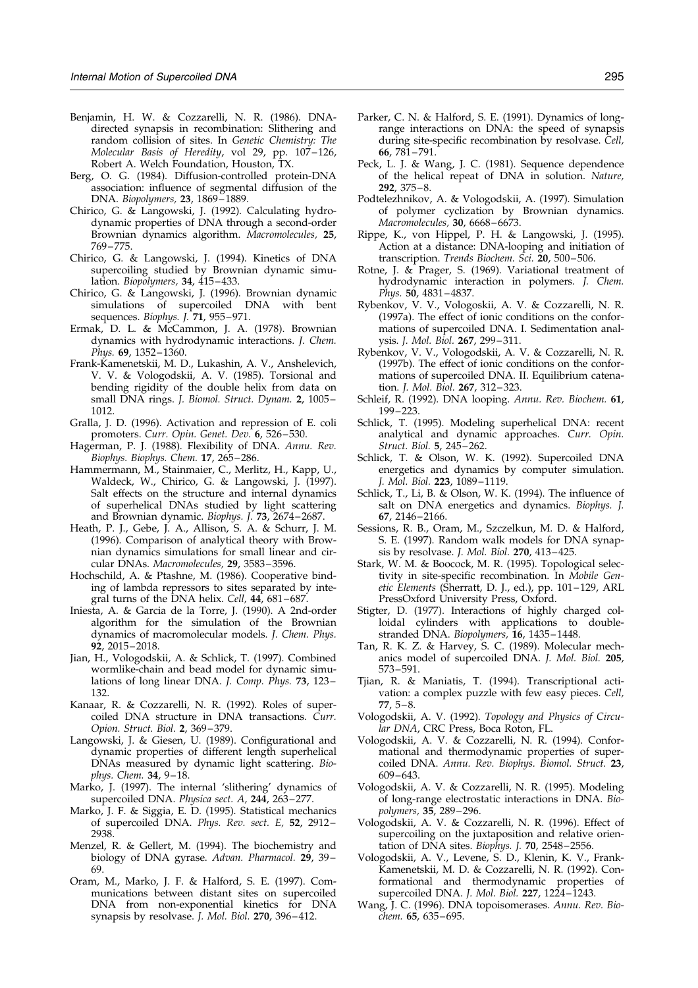- <span id="page-8-0"></span>Benjamin, H. W. & Cozzarelli, N. R. (1986). DNAdirected synapsis in recombination: Slithering and random collision of sites. In Genetic Chemistry: The Molecular Basis of Heredity, vol 29, pp. 107-126, Robert A. Welch Foundation, Houston, TX.
- Berg, O. G. (1984). Diffusion-controlled protein-DNA association: influence of segmental diffusion of the DNA. Biopolymers, 23, 1869-1889.
- Chirico, G. & Langowski, J. (1992). Calculating hydrodynamic properties of DNA through a second-order Brownian dynamics algorithm. Macromolecules, 25, 769-775.
- Chirico, G. & Langowski, J. (1994). Kinetics of DNA supercoiling studied by Brownian dynamic simulation. Biopolymers,  $34$ ,  $415-433$ .
- Chirico, G. & Langowski, J. (1996). Brownian dynamic simulations of supercoiled DNA with bent sequences. Biophys. J.  $71$ , 955-971.
- Ermak, D. L. & McCammon, J. A. (1978). Brownian dynamics with hydrodynamic interactions. J. Chem. Phys. 69, 1352-1360.
- Frank-Kamenetskii, M. D., Lukashin, A. V., Anshelevich, V. V. & Vologodskii, A. V. (1985). Torsional and bending rigidity of the double helix from data on small DNA rings. J. Biomol. Struct. Dynam. 2, 1005-1012.
- Gralla, J. D. (1996). Activation and repression of E. coli promoters. Curr. Opin. Genet. Dev. 6, 526-530.
- Hagerman, P. J. (1988). Flexibility of DNA. Annu. Rev. Biophys. Biophys. Chem. 17, 265-286.
- Hammermann, M., Stainmaier, C., Merlitz, H., Kapp, U., Waldeck, W., Chirico, G. & Langowski, J. (1997). Salt effects on the structure and internal dynamics of superhelical DNAs studied by light scattering and Brownian dynamic. Biophys. J. 73, 2674-2687.
- Heath, P. J., Gebe, J. A., Allison, S. A. & Schurr, J. M. (1996). Comparison of analytical theory with Brownian dynamics simulations for small linear and circular DNAs. Macromolecules, 29, 3583-3596.
- Hochschild, A. & Ptashne, M. (1986). Cooperative binding of lambda repressors to sites separated by integral turns of the DNA helix. Cell,  $44,681-687$
- Iniesta, A. & Garcia de la Torre, J. (1990). A 2nd-order algorithm for the simulation of the Brownian dynamics of macromolecular models. J. Chem. Phys. 92, 2015-2018.
- Jian, H., Vologodskii, A. & Schlick, T. (1997). Combined wormlike-chain and bead model for dynamic simulations of long linear DNA. J. Comp. Phys. 73, 123-132.
- Kanaar, R. & Cozzarelli, N. R. (1992). Roles of supercoiled DNA structure in DNA transactions. Curr. Opion. Struct. Biol. 2, 369-379.
- Langowski, J. & Giesen, U. (1989). Configurational and dynamic properties of different length superhelical DNAs measured by dynamic light scattering. Biophys. Chem.  $34, 9-18$ .
- Marko, J. (1997). The internal 'slithering' dynamics of supercoiled DNA. Physica sect. A, 244, 263-277.
- Marko, J. F. & Siggia, E. D. (1995). Statistical mechanics of supercoiled DNA. Phys. Rev. sect. E,  $52$ ,  $2912-$ 2938.
- Menzel, R. & Gellert, M. (1994). The biochemistry and biology of DNA gyrase. Advan. Pharmacol. 29, 39-69.
- Oram, M., Marko, J. F. & Halford, S. E. (1997). Communications between distant sites on supercoiled DNA from non-exponential kinetics for DNA synapsis by resolvase. J. Mol. Biol. 270, 396-412.
- Parker, C. N. & Halford, S. E. (1991). Dynamics of longrange interactions on DNA: the speed of synapsis during site-specific recombination by resolvase. Cell, 66, 781-791.
- Peck, L. J. & Wang, J. C. (1981). Sequence dependence of the helical repeat of DNA in solution. Nature,  $292, 375-8.$
- Podtelezhnikov, A. & Vologodskii, A. (1997). Simulation of polymer cyclization by Brownian dynamics. Macromolecules, 30, 6668-6673.
- Rippe, K., von Hippel, P. H. & Langowski, J. (1995). Action at a distance: DNA-looping and initiation of transcription. Trends Biochem. Sci. 20, 500-506.
- Rotne, J. & Prager, S. (1969). Variational treatment of hydrodynamic interaction in polymers. J. Chem. Phys.  $50.4831 - 4837$ .
- Rybenkov, V. V., Vologoskii, A. V. & Cozzarelli, N. R. (1997a). The effect of ionic conditions on the conformations of supercoiled DNA. I. Sedimentation analysis. J. Mol. Biol. 267, 299-311.
- Rybenkov, V. V., Vologodskii, A. V. & Cozzarelli, N. R. (1997b). The effect of ionic conditions on the conformations of supercoiled DNA. II. Equilibrium catenation. J. Mol. Biol. 267, 312-323.
- Schleif, R. (1992). DNA looping. Annu. Rev. Biochem. 61, 199-223.
- Schlick, T. (1995). Modeling superhelical DNA: recent analytical and dynamic approaches. Curr. Opin. Struct. Biol. 5, 245-262.
- Schlick, T. & Olson, W. K. (1992). Supercoiled DNA energetics and dynamics by computer simulation. J. Mol. Biol. 223, 1089-1119.
- Schlick, T., Li, B. & Olson, W. K. (1994). The influence of salt on DNA energetics and dynamics. Biophys. J. 67, 2146-2166.
- Sessions, R. B., Oram, M., Szczelkun, M. D. & Halford, S. E. (1997). Random walk models for DNA synapsis by resolvase. *J. Mol. Biol.* 270, 413-425.
- Stark, W. M. & Boocock, M. R. (1995). Topological selectivity in site-specific recombination. In Mobile Genetic Elements (Sherratt, D. J., ed.), pp. 101-129, ARL PressOxford University Press, Oxford.
- Stigter, D. (1977). Interactions of highly charged colloidal cylinders with applications to doublestranded DNA. Biopolymers, 16, 1435-1448.
- Tan, R. K. Z. & Harvey, S. C. (1989). Molecular mechanics model of supercoiled DNA. J. Mol. Biol. 205, 573± 591.
- Tjian, R. & Maniatis, T. (1994). Transcriptional activation: a complex puzzle with few easy pieces. Cell, 77, 5–8.
- Vologodskii, A. V. (1992). Topology and Physics of Circular DNA, CRC Press, Boca Roton, FL.
- Vologodskii, A. V. & Cozzarelli, N. R. (1994). Conformational and thermodynamic properties of supercoiled DNA. Annu. Rev. Biophys. Biomol. Struct. 23,  $609 - 643.$
- Vologodskii, A. V. & Cozzarelli, N. R. (1995). Modeling of long-range electrostatic interactions in DNA. Biopolymers, 35, 289-296.
- Vologodskii, A. V. & Cozzarelli, N. R. (1996). Effect of supercoiling on the juxtaposition and relative orientation of DNA sites. Biophys.  $J.$  70, 2548-2556.
- Vologodskii, A. V., Levene, S. D., Klenin, K. V., Frank-Kamenetskii, M. D. & Cozzarelli, N. R. (1992). Conformational and thermodynamic properties of supercoiled DNA. *J. Mol. Biol.*  $227, 1224 - 1243$ .
- Wang, J. C. (1996). DNA topoisomerases. Annu. Rev. Biochem. 65, 635-695.